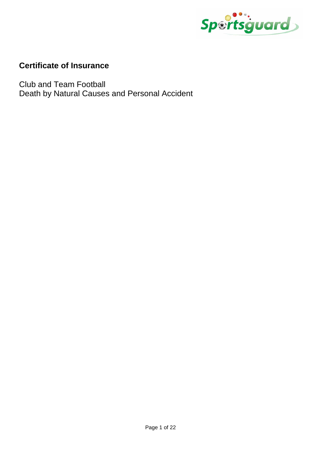

# **Certificate of Insurance**

Club and Team Football Death by Natural Causes and Personal Accident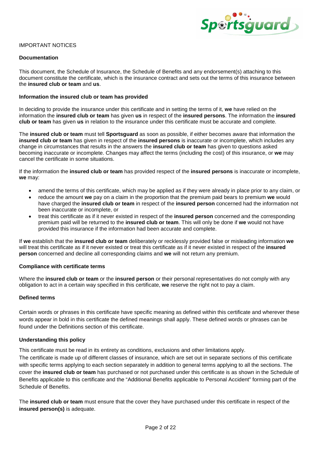

# IMPORTANT NOTICES

# **Documentation**

This document, the Schedule of Insurance, the Schedule of Benefits and any endorsement(s) attaching to this document constitute the certificate, which is the insurance contract and sets out the terms of this insurance between the **insured club or team** and **us**.

# **Information the insured club or team has provided**

In deciding to provide the insurance under this certificate and in setting the terms of it, **we** have relied on the information the **insured club or team** has given **us** in respect of the **insured persons**. The information the **insured club or team** has given **us** in relation to the insurance under this certificate must be accurate and complete.

The **insured club or team** must tell **Sportsguard** as soon as possible, if either becomes aware that information the **insured club or team** has given in respect of the **insured persons** is inaccurate or incomplete, which includes any change in circumstances that results in the answers the **insured club or team** has given to questions asked becoming inaccurate or incomplete. Changes may affect the terms (including the cost) of this insurance, or **we** may cancel the certificate in some situations.

If the information the **insured club or team** has provided respect of the **insured persons** is inaccurate or incomplete, **we** may:

- amend the terms of this certificate, which may be applied as if they were already in place prior to any claim, or
- reduce the amount **we** pay on a claim in the proportion that the premium paid bears to premium **we** would have charged the **insured club or team** in respect of the **insured person** concerned had the information not been inaccurate or incomplete, or
- treat this certificate as if it never existed in respect of the **insured person** concerned and the corresponding premium paid will be returned to the **insured club or team**. This will only be done if **we** would not have provided this insurance if the information had been accurate and complete.

If **we** establish that the **insured club or team** deliberately or recklessly provided false or misleading information **we** will treat this certificate as if it never existed or treat this certificate as if it never existed in respect of the **insured person** concerned and decline all corresponding claims and **we** will not return any premium.

# **Compliance with certificate terms**

Where the **insured club or team** or the **insured person** or their personal representatives do not comply with any obligation to act in a certain way specified in this certificate, **we** reserve the right not to pay a claim.

# **Defined terms**

Certain words or phrases in this certificate have specific meaning as defined within this certificate and wherever these words appear in bold in this certificate the defined meanings shall apply. These defined words or phrases can be found under the Definitions section of this certificate.

# **Understanding this policy**

This certificate must be read in its entirety as conditions, exclusions and other limitations apply.

The certificate is made up of different classes of insurance, which are set out in separate sections of this certificate with specific terms applying to each section separately in addition to general terms applying to all the sections. The cover the **insured club or team** has purchased or not purchased under this certificate is as shown in the Schedule of Benefits applicable to this certificate and the "Additional Benefits applicable to Personal Accident" forming part of the Schedule of Benefits.

The **insured club or team** must ensure that the cover they have purchased under this certificate in respect of the **insured person(s)** is adequate.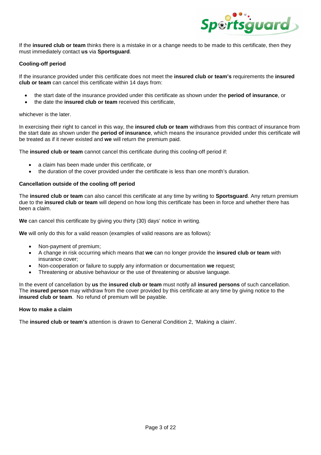

If the **insured club or team** thinks there is a mistake in or a change needs to be made to this certificate, then they must immediately contact **us** via **Sportsguard**.

# **Cooling-off period**

If the insurance provided under this certificate does not meet the **insured club or team's** requirements the **insured club or team** can cancel this certificate within 14 days from:

- the start date of the insurance provided under this certificate as shown under the **period of insurance**, or
- the date the **insured club or team** received this certificate,

# whichever is the later.

In exercising their right to cancel in this way, the **insured club or team** withdraws from this contract of insurance from the start date as shown under the **period of insurance**, which means the insurance provided under this certificate will be treated as if it never existed and **we** will return the premium paid.

The **insured club or team** cannot cancel this certificate during this cooling-off period if:

- a claim has been made under this certificate, or
- the duration of the cover provided under the certificate is less than one month's duration.

# **Cancellation outside of the cooling off period**

The **insured club or team** can also cancel this certificate at any time by writing to **Sportsguard**. Any return premium due to the **insured club or team** will depend on how long this certificate has been in force and whether there has been a claim.

**We** can cancel this certificate by giving you thirty (30) days' notice in writing.

**We** will only do this for a valid reason (examples of valid reasons are as follows):

- Non-payment of premium;
- A change in risk occurring which means that **we** can no longer provide the **insured club or team** with insurance cover;
- Non-cooperation or failure to supply any information or documentation **we** request;
- Threatening or abusive behaviour or the use of threatening or abusive language.

In the event of cancellation by **us** the **insured club or team** must notify all **insured persons** of such cancellation. The i**nsured person** may withdraw from the cover provided by this certificate at any time by giving notice to the **insured club or team**. No refund of premium will be payable.

# **How to make a claim**

The **insured club or team's** attention is drawn to General Condition 2, 'Making a claim'.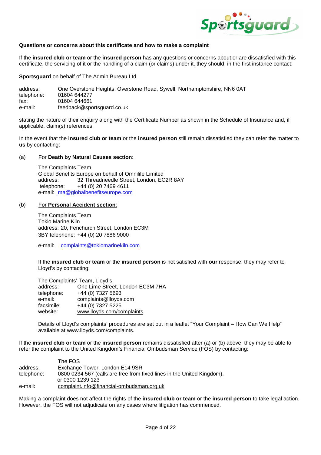

# **Questions or concerns about this certificate and how to make a complaint**

If the **insured club or team** or the **insured person** has any questions or concerns about or are dissatisfied with this certificate, the servicing of it or the handling of a claim (or claims) under it, they should, in the first instance contact:

**Sportsguard** on behalf of The Admin Bureau Ltd

| address:   | One Overstone Heights, Overstone Road, Sywell, Northamptonshire, NN6 0AT |
|------------|--------------------------------------------------------------------------|
| telephone: | 01604 644277                                                             |
| fax:       | 01604 644661                                                             |
| e-mail:    | feedback@sportsguard.co.uk                                               |

stating the nature of their enquiry along with the Certificate Number as shown in the Schedule of Insurance and, if applicable, claim(s) references.

In the event that the **insured club or team** or the **insured person** still remain dissatisfied they can refer the matter to **us** by contacting:

#### (a) For **Death by Natural Causes section:**

The Complaints Team Global Benefits Europe on behalf of Omnilife Limited address: 32 Threadneedle Street, London, EC2R 8AY telephone: +44 (0) 20 7469 4611 e-mail: ma@globalbenefitseurope.com

#### (b) For **Personal Accident section**:

The Complaints Team Tokio Marine Kiln address: 20, Fenchurch Street, London EC3M 3BY telephone: +44 (0) 20 7886 9000

e-mail: complaints@tokiomarinekiln.com

If the **insured club or team** or the **insured person** is not satisfied with **our** response, they may refer to Lloyd's by contacting:

| The Complaints' Team, Lloyd's |                                  |
|-------------------------------|----------------------------------|
| address:                      | One Lime Street, London EC3M 7HA |
| telephone:                    | +44 (0) 7327 5693                |
| e-mail:                       | complaints@lloyds.com            |
| facsimile:                    | +44 (0) 7327 5225                |
| website:                      | www.lloyds.com/complaints        |

Details of Lloyd's complaints' procedures are set out in a leaflet "Your Complaint – How Can We Help" available at www.lloyds.com/complaints.

If the **insured club or team** or the **insured person** remains dissatisfied after (a) or (b) above, they may be able to refer the complaint to the United Kingdom's Financial Ombudsman Service (FOS) by contacting:

|            | The FOS                                                                |
|------------|------------------------------------------------------------------------|
| address:   | Exchange Tower, London E14 9SR                                         |
| telephone: | 0800 0234 567 (calls are free from fixed lines in the United Kingdom), |
|            | or 0300 1239 123                                                       |
| e-mail:    | complaint.info@financial-ombudsman.org.uk                              |

Making a complaint does not affect the rights of the **insured club or team** or the **insured person** to take legal action. However, the FOS will not adjudicate on any cases where litigation has commenced.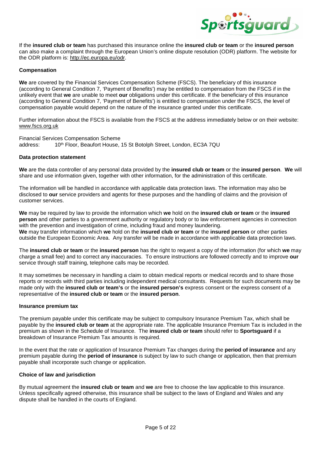

If the **insured club or team** has purchased this insurance online the **insured club or team** or the **insured person** can also make a complaint through the European Union's online dispute resolution (ODR) platform. The website for the ODR platform is: http://ec.europa.eu/odr.

# **Compensation**

**We** are covered by the Financial Services Compensation Scheme (FSCS). The beneficiary of this insurance (according to General Condition 7, 'Payment of Benefits') may be entitled to compensation from the FSCS if in the unlikely event that **we** are unable to meet **our** obligations under this certificate. If the beneficiary of this insurance (according to General Condition 7, 'Payment of Benefits') is entitled to compensation under the FSCS, the level of compensation payable would depend on the nature of the insurance granted under this certificate.

Further information about the FSCS is available from the FSCS at the address immediately below or on their website: www.fscs.org.uk

Financial Services Compensation Scheme address: 10<sup>th</sup> Floor, Beaufort House, 15 St Botolph Street, London, EC3A 7QU

# **Data protection statement**

**We** are the data controller of any personal data provided by the **insured club or team** or the **insured person**. **We** will share and use information given, together with other information, for the administration of this certificate.

The information will be handled in accordance with applicable data protection laws. The information may also be disclosed to **our** service providers and agents for these purposes and the handling of claims and the provision of customer services.

**We** may be required by law to provide the information which **we** hold on the **insured club or team** or the **insured person** and other parties to a government authority or regulatory body or to law enforcement agencies in connection with the prevention and investigation of crime, including fraud and money laundering. **We** may transfer information which **we** hold on the **insured club or team** or the **insured person** or other parties outside the European Economic Area. Any transfer will be made in accordance with applicable data protection laws.

The **insured club or team** or the **insured person** has the right to request a copy of the information (for which **we** may charge a small fee) and to correct any inaccuracies. To ensure instructions are followed correctly and to improve **our** service through staff training, telephone calls may be recorded.

It may sometimes be necessary in handling a claim to obtain medical reports or medical records and to share those reports or records with third parties including independent medical consultants. Requests for such documents may be made only with the **insured club or team's** or the **insured person's** express consent or the express consent of a representative of the **insured club or team** or the **insured person**.

# **Insurance premium tax**

The premium payable under this certificate may be subject to compulsory Insurance Premium Tax, which shall be payable by the **insured club or team** at the appropriate rate. The applicable Insurance Premium Tax is included in the premium as shown in the Schedule of Insurance. The **insured club or team** should refer to **Sportsguard** if a breakdown of Insurance Premium Tax amounts is required.

In the event that the rate or application of Insurance Premium Tax changes during the **period of insurance** and any premium payable during the **period of insurance** is subject by law to such change or application, then that premium payable shall incorporate such change or application.

# **Choice of law and jurisdiction**

By mutual agreement the **insured club or team** and **we** are free to choose the law applicable to this insurance. Unless specifically agreed otherwise, this insurance shall be subject to the laws of England and Wales and any dispute shall be handled in the courts of England.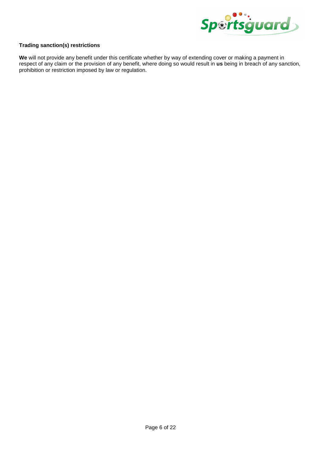

# **Trading sanction(s) restrictions**

**We** will not provide any benefit under this certificate whether by way of extending cover or making a payment in respect of any claim or the provision of any benefit, where doing so would result in **us** being in breach of any sanction, prohibition or restriction imposed by law or regulation.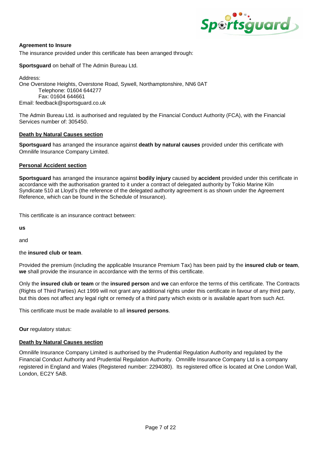

# **Agreement to Insure**

The insurance provided under this certificate has been arranged through:

**Sportsguard** on behalf of The Admin Bureau Ltd.

Address: One Overstone Heights, Overstone Road, Sywell, Northamptonshire, NN6 0AT Telephone: 01604 644277 Fax: 01604 644661 Email: feedback@sportsguard.co.uk

The Admin Bureau Ltd. is authorised and regulated by the Financial Conduct Authority (FCA), with the Financial Services number of: 305450.

# **Death by Natural Causes section**

**Sportsguard** has arranged the insurance against **death by natural causes** provided under this certificate with Omnilife Insurance Company Limited.

# **Personal Accident section**

**Sportsguard** has arranged the insurance against **bodily injury** caused by **accident** provided under this certificate in accordance with the authorisation granted to it under a contract of delegated authority by Tokio Marine Kiln Syndicate 510 at Lloyd's (the reference of the delegated authority agreement is as shown under the Agreement Reference, which can be found in the Schedule of Insurance).

This certificate is an insurance contract between:

**us**

and

# the **insured club or team**.

Provided the premium (including the applicable Insurance Premium Tax) has been paid by the **insured club or team**, **we** shall provide the insurance in accordance with the terms of this certificate.

Only the **insured club or team** or the **insured person** and **we** can enforce the terms of this certificate. The Contracts (Rights of Third Parties) Act 1999 will not grant any additional rights under this certificate in favour of any third party, but this does not affect any legal right or remedy of a third party which exists or is available apart from such Act.

This certificate must be made available to all **insured persons**.

**Our** regulatory status:

# **Death by Natural Causes section**

Omnilife Insurance Company Limited is authorised by the Prudential Regulation Authority and regulated by the Financial Conduct Authority and Prudential Regulation Authority. Omnilife Insurance Company Ltd is a company registered in England and Wales (Registered number: 2294080). Its registered office is located at One London Wall, London, EC2Y 5AB.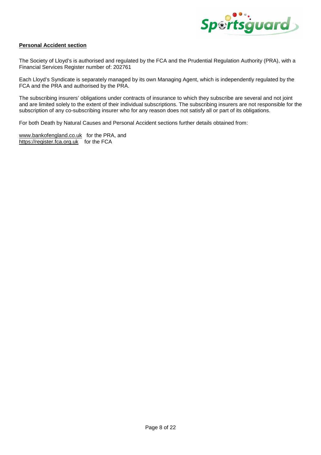

# **Personal Accident section**

The Society of Lloyd's is authorised and regulated by the FCA and the Prudential Regulation Authority (PRA), with a Financial Services Register number of: 202761

Each Lloyd's Syndicate is separately managed by its own Managing Agent, which is independently regulated by the FCA and the PRA and authorised by the PRA.

The subscribing insurers' obligations under contracts of insurance to which they subscribe are several and not joint and are limited solely to the extent of their individual subscriptions. The subscribing insurers are not responsible for the subscription of any co-subscribing insurer who for any reason does not satisfy all or part of its obligations.

For both Death by Natural Causes and Personal Accident sections further details obtained from:

www.bankofengland.co.uk for the PRA, and https://register.fca.org.uk for the FCA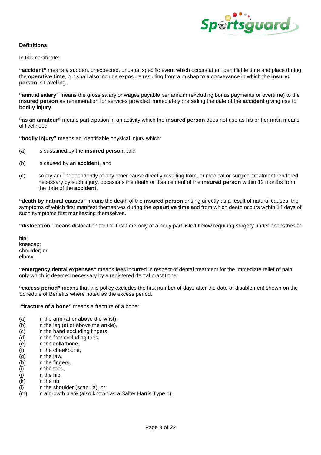

# **Definitions**

In this certificate:

**"accident"** means a sudden, unexpected, unusual specific event which occurs at an identifiable time and place during the **operative time**, but shall also include exposure resulting from a mishap to a conveyance in which the **insured person** is travelling.

**"annual salary"** means the gross salary or wages payable per annum (excluding bonus payments or overtime) to the **insured person** as remuneration for services provided immediately preceding the date of the **accident** giving rise to **bodily injury**.

**"as an amateur"** means participation in an activity which the **insured person** does not use as his or her main means of livelihood.

**"bodily injury"** means an identifiable physical injury which:

- (a) is sustained by the **insured person**, and
- (b) is caused by an **accident**, and
- (c) solely and independently of any other cause directly resulting from, or medical or surgical treatment rendered necessary by such injury, occasions the death or disablement of the **insured person** within 12 months from the date of the **accident**.

**"death by natural causes"** means the death of the **insured person** arising directly as a result of natural causes, the symptoms of which first manifest themselves during the **operative time** and from which death occurs within 14 days of such symptoms first manifesting themselves.

**"dislocation"** means dislocation for the first time only of a body part listed below requiring surgery under anaesthesia:

hip; kneecap; shoulder; or elbow.

**"emergency dental expenses"** means fees incurred in respect of dental treatment for the immediate relief of pain only which is deemed necessary by a registered dental practitioner.

**"excess period"** means that this policy excludes the first number of days after the date of disablement shown on the Schedule of Benefits where noted as the excess period.

 **"fracture of a bone"** means a fracture of a bone:

- (a) in the arm (at or above the wrist),
- (b) in the leg (at or above the ankle),
- (c) in the hand excluding fingers,
- (d) in the foot excluding toes,
- (e) in the collarbone,
- (f) in the cheekbone,
- (g) in the jaw,
- (h) in the fingers,
- (i) in the toes,
- (j) in the hip,
- (k) in the rib,
- (l) in the shoulder (scapula), or
- (m) in a growth plate (also known as a Salter Harris Type 1),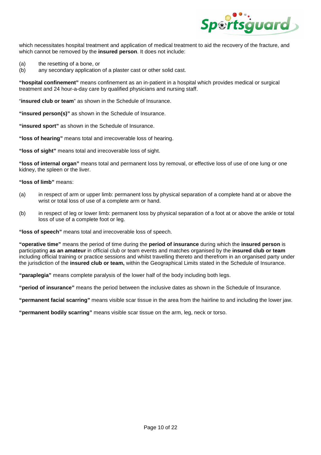

which necessitates hospital treatment and application of medical treatment to aid the recovery of the fracture, and which cannot be removed by the **insured person**. It does not include:

- (a) the resetting of a bone, or
- (b) any secondary application of a plaster cast or other solid cast.

**"hospital confinement"** means confinement as an in-patient in a hospital which provides medical or surgical treatment and 24 hour-a-day care by qualified physicians and nursing staff.

"**insured club or team**" as shown in the Schedule of Insurance.

**"insured person(s)"** as shown in the Schedule of Insurance.

**"insured sport"** as shown in the Schedule of Insurance.

**"loss of hearing"** means total and irrecoverable loss of hearing.

**"loss of sight"** means total and irrecoverable loss of sight.

**"loss of internal organ"** means total and permanent loss by removal, or effective loss of use of one lung or one kidney, the spleen or the liver.

**"loss of limb"** means:

- (a) in respect of arm or upper limb: permanent loss by physical separation of a complete hand at or above the wrist or total loss of use of a complete arm or hand.
- (b) in respect of leg or lower limb: permanent loss by physical separation of a foot at or above the ankle or total loss of use of a complete foot or leg.

**"loss of speech"** means total and irrecoverable loss of speech.

**"operative time"** means the period of time during the **period of insurance** during which the **insured person** is participating **as an amateur** in official club or team events and matches organised by the **insured club or team** including official training or practice sessions and whilst travelling thereto and therefrom in an organised party under the jurisdiction of the **insured club or team,** within the Geographical Limits stated in the Schedule of Insurance.

**"paraplegia"** means complete paralysis of the lower half of the body including both legs.

**"period of insurance"** means the period between the inclusive dates as shown in the Schedule of Insurance.

**"permanent facial scarring"** means visible scar tissue in the area from the hairline to and including the lower jaw.

**"permanent bodily scarring"** means visible scar tissue on the arm, leg, neck or torso.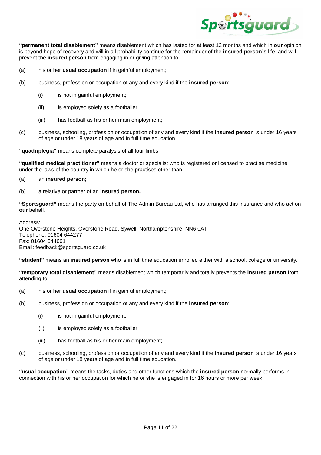

**"permanent total disablement"** means disablement which has lasted for at least 12 months and which in **our** opinion is beyond hope of recovery and will in all probability continue for the remainder of the **insured person's** life, and will prevent the **insured person** from engaging in or giving attention to:

- (a) his or her **usual occupation** if in gainful employment;
- (b) business, profession or occupation of any and every kind if the **insured person**:
	- (i) is not in gainful employment;
	- (ii) is employed solely as a footballer;
	- (iii) has football as his or her main employment;
- (c) business, schooling, profession or occupation of any and every kind if the **insured person** is under 16 years of age or under 18 years of age and in full time education.

**"quadriplegia"** means complete paralysis of all four limbs.

**"qualified medical practitioner"** means a doctor or specialist who is registered or licensed to practise medicine under the laws of the country in which he or she practises other than:

# (a) an **insured person;**

(b) a relative or partner of an **insured person.** 

**"Sportsguard"** means the party on behalf of The Admin Bureau Ltd, who has arranged this insurance and who act on **our** behalf.

Address: One Overstone Heights, Overstone Road, Sywell, Northamptonshire, NN6 0AT Telephone: 01604 644277 Fax: 01604 644661 Email: feedback@sportsguard.co.uk

**"student"** means an **insured person** who is in full time education enrolled either with a school, college or university.

**"temporary total disablement"** means disablement which temporarily and totally prevents the **insured person** from attending to:

- (a) his or her **usual occupation** if in gainful employment;
- (b) business, profession or occupation of any and every kind if the **insured person**:
	- (i) is not in gainful employment;
	- (ii) is employed solely as a footballer;
	- (iii) has football as his or her main employment;
- (c) business, schooling, profession or occupation of any and every kind if the **insured person** is under 16 years of age or under 18 years of age and in full time education.

**"usual occupation"** means the tasks, duties and other functions which the **insured person** normally performs in connection with his or her occupation for which he or she is engaged in for 16 hours or more per week.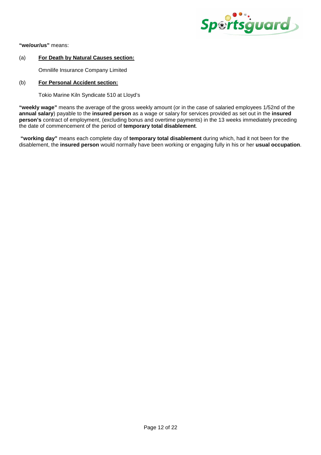

**"we/our/us"** means:

# (a) **For Death by Natural Causes section:**

Omnilife Insurance Company Limited

# (b) **For Personal Accident section:**

Tokio Marine Kiln Syndicate 510 at Lloyd's

**"weekly wage"** means the average of the gross weekly amount (or in the case of salaried employees 1/52nd of the **annual salary**) payable to the **insured person** as a wage or salary for services provided as set out in the **insured person's** contract of employment, (excluding bonus and overtime payments) in the 13 weeks immediately preceding the date of commencement of the period of **temporary total disablement**.

 **"working day"** means each complete day of **temporary total disablement** during which, had it not been for the disablement, the **insured person** would normally have been working or engaging fully in his or her **usual occupation**.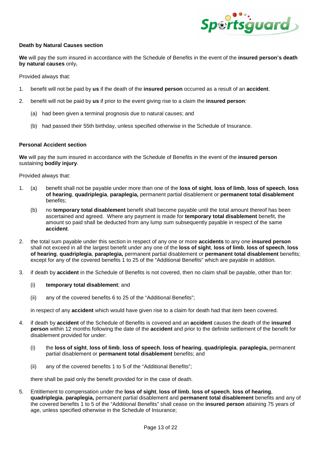

# **Death by Natural Causes section**

**We** will pay the sum insured in accordance with the Schedule of Benefits in the event of the **insured person's death by natural causes** only**.**

Provided always that:

- 1. benefit will not be paid by **us** if the death of the **insured person** occurred as a result of an **accident**.
- 2. benefit will not be paid by **us** if prior to the event giving rise to a claim the **insured person**:
	- (a) had been given a terminal prognosis due to natural causes; and
	- (b) had passed their 55th birthday, unless specified otherwise in the Schedule of Insurance.

# **Personal Accident section**

**We** will pay the sum insured in accordance with the Schedule of Benefits in the event of the **insured person**  sustaining **bodily injury**.

Provided always that:

- 1. (a) benefit shall not be payable under more than one of the **loss of sight**, **loss of limb**, **loss of speech**, **loss of hearing**, **quadriplegia**, **paraplegia,** permanent partial disablement or **permanent total disablement**  benefits;
	- (b) no **temporary total disablement** benefit shall become payable until the total amount thereof has been ascertained and agreed. Where any payment is made for **temporary total disablement** benefit, the amount so paid shall be deducted from any lump sum subsequently payable in respect of the same **accident**.
- 2. the total sum payable under this section in respect of any one or more **accidents** to any one **insured person** shall not exceed in all the largest benefit under any one of the **loss of sight**, **loss of limb**, **loss of speech**, **loss of hearing**, **quadriplegia**, **paraplegia,** permanent partial disablement or **permanent total disablement** benefits; except for any of the covered benefits 1 to 25 of the "Additional Benefits" which are payable in addition.
- 3. if death by **accident** in the Schedule of Benefits is not covered, then no claim shall be payable, other than for:

# (i) **temporary total disablement**; and

(ii) any of the covered benefits 6 to 25 of the "Additional Benefits";

in respect of any **accident** which would have given rise to a claim for death had that item been covered.

- 4. if death by **accident** of the Schedule of Benefits is covered and an **accident** causes the death of the **insured person** within 12 months following the date of the **accident** and prior to the definite settlement of the benefit for disablement provided for under:
	- (i) the **loss of sight**, **loss of limb**, **loss of speech**, **loss of hearing**, **quadriplegia**, **paraplegia,** permanent partial disablement or **permanent total disablement** benefits; and
	- (ii) any of the covered benefits 1 to 5 of the "Additional Benefits";

there shall be paid only the benefit provided for in the case of death.

5. Entitlement to compensation under the **loss of sight**, **loss of limb**, **loss of speech**, **loss of hearing**, **quadriplegia**, **paraplegia,** permanent partial disablement and **permanent total disablement** benefits and any of the covered benefits 1 to 5 of the "Additional Benefits" shall cease on the **insured person** attaining 75 years of age, unless specified otherwise in the Schedule of Insurance;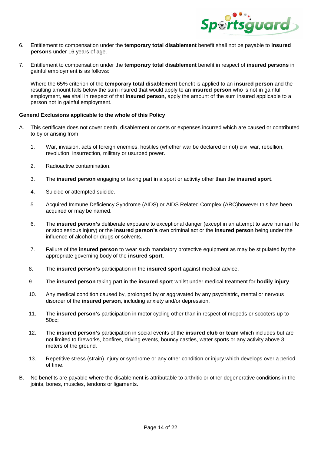

- 6. Entitlement to compensation under the **temporary total disablement** benefit shall not be payable to **insured persons** under 16 years of age.
- 7. Entitlement to compensation under the **temporary total disablement** benefit in respect of **insured persons** in gainful employment is as follows:

Where the 65% criterion of the **temporary total disablement** benefit is applied to an **insured person** and the resulting amount falls below the sum insured that would apply to an **insured person** who is not in gainful employment, **we** shall in respect of that **insured person**, apply the amount of the sum insured applicable to a person not in gainful employment.

# **General Exclusions applicable to the whole of this Policy**

- A. This certificate does not cover death, disablement or costs or expenses incurred which are caused or contributed to by or arising from:
	- 1. War, invasion, acts of foreign enemies, hostiles (whether war be declared or not) civil war, rebellion, revolution, insurrection, military or usurped power.
	- 2. Radioactive contamination.
	- 3. The **insured person** engaging or taking part in a sport or activity other than the **insured sport**.
	- 4. Suicide or attempted suicide.
	- 5. Acquired Immune Deficiency Syndrome (AIDS) or AIDS Related Complex (ARC)however this has been acquired or may be named.
	- 6. The **insured person's** deliberate exposure to exceptional danger (except in an attempt to save human life or stop serious injury) or the **insured person's** own criminal act or the **insured person** being under the influence of alcohol or drugs or solvents.
	- 7. Failure of the **insured person** to wear such mandatory protective equipment as may be stipulated by the appropriate governing body of the **insured sport**.
	- 8. The **insured person's** participation in the **insured sport** against medical advice.
	- 9. The **insured person** taking part in the **insured sport** whilst under medical treatment for **bodily injury**.
	- 10. Any medical condition caused by, prolonged by or aggravated by any psychiatric, mental or nervous disorder of the **insured person**, including anxiety and/or depression.
	- 11. The **insured person's** participation in motor cycling other than in respect of mopeds or scooters up to 50cc;
	- 12. The **insured person's** participation in social events of the **insured club or team** which includes but are not limited to fireworks, bonfires, driving events, bouncy castles, water sports or any activity above 3 meters of the ground.
	- 13. Repetitive stress (strain) injury or syndrome or any other condition or injury which develops over a period of time.
- B. No benefits are payable where the disablement is attributable to arthritic or other degenerative conditions in the joints, bones, muscles, tendons or ligaments.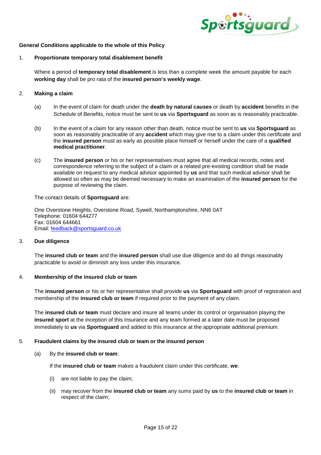

# **General Conditions applicable to the whole of this Policy**

#### 1. **Proportionate temporary total disablement benefit**

Where a period of **temporary total disablement** is less than a complete week the amount payable for each **working day** shall be pro rata of the **insured person's weekly wage**.

# 2. **Making a claim**

- (a) In the event of claim for death under the **death by natural causes** or death by **accident** benefits in the Schedule of Benefits, notice must be sent to **us** via **Sportsguard** as soon as is reasonably practicable.
- (b) In the event of a claim for any reason other than death, notice must be sent to **us** via **Sportsguard** as soon as reasonably practicable of any **accident** which may give rise to a claim under this certificate and the **insured person** must as early as possible place himself or herself under the care of a **qualified medical practitioner**.
- (c) The **insured person** or his or her representatives must agree that all medical records, notes and correspondence referring to the subject of a claim or a related pre-existing condition shall be made available on request to any medical advisor appointed by **us** and that such medical advisor shall be allowed so often as may be deemed necessary to make an examination of the **insured person** for the purpose of reviewing the claim.

The contact details of **Sportsguard** are:

One Overstone Heights, Overstone Road, Sywell, Northamptonshire, NN6 0AT Telephone: 01604 644277 Fax: 01604 644661 Email: feedback@sportsguard.co.uk

# 3. **Due diligence**

The **insured club or team** and the **insured person** shall use due diligence and do all things reasonably practicable to avoid or diminish any loss under this insurance.

# 4. **Membership of the insured club or team**

The **insured person** or his or her representative shall provide **us** via **Sportsguard** with proof of registration and membership of the **insured club or team** if required prior to the payment of any claim.

The **insured club or team** must declare and insure all teams under its control or organisation playing the **insured sport** at the inception of this insurance and any team formed at a later date must be proposed immediately to **us** via **Sportsguard** and added to this insurance at the appropriate additional premium.

#### 5. **Fraudulent claims by the insured club or team or the insured person**

(a) By the **insured club or team**:

If the **insured club or team** makes a fraudulent claim under this certificate, **we**:

- (i) are not liable to pay the claim;
- (ii) may recover from the **insured club or team** any sums paid by **us** to the **insured club or team** in respect of the claim;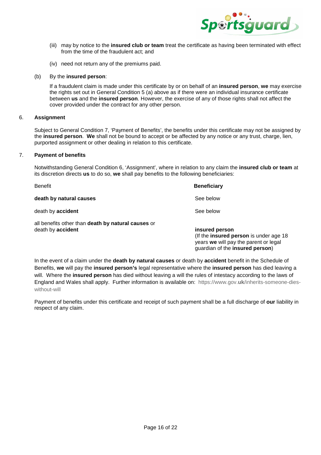

- (iii) may by notice to the **insured club or team** treat the certificate as having been terminated with effect from the time of the fraudulent act; and
- (iv) need not return any of the premiums paid.

# (b) By the **insured person**:

If a fraudulent claim is made under this certificate by or on behalf of an **insured person**, **we** may exercise the rights set out in General Condition 5 (a) above as if there were an individual insurance certificate between **us** and the **insured person**. However, the exercise of any of those rights shall not affect the cover provided under the contract for any other person.

# 6. **Assignment**

 Subject to General Condition 7, 'Payment of Benefits', the benefits under this certificate may not be assigned by the **insured person**. **We** shall not be bound to accept or be affected by any notice or any trust, charge, lien, purported assignment or other dealing in relation to this certificate.

#### 7. **Payment of benefits**

 Notwithstanding General Condition 6, 'Assignment', where in relation to any claim the **insured club or team** at its discretion directs **us** to do so, **we** shall pay benefits to the following beneficiaries:

| <b>Benefit</b>                                                                 | <b>Beneficiary</b>                                                                                                                    |
|--------------------------------------------------------------------------------|---------------------------------------------------------------------------------------------------------------------------------------|
| death by natural causes                                                        | See below                                                                                                                             |
| death by accident                                                              | See below                                                                                                                             |
| all benefits other than death by natural causes or<br>death by <b>accident</b> | insured person<br>(If the insured person is under age 18)<br>years we will pay the parent or legal<br>guardian of the insured person) |

In the event of a claim under the **death by natural causes** or death by **accident** benefit in the Schedule of Benefits, **we** will pay the **insured person's** legal representative where the **insured person** has died leaving a will. Where the **insured person** has died without leaving a will the rules of intestacy according to the laws of England and Wales shall apply. Further information is available on: https://www.gov.**uk**/inherits-someone-dieswithout-will

Payment of benefits under this certificate and receipt of such payment shall be a full discharge of **our** liability in respect of any claim.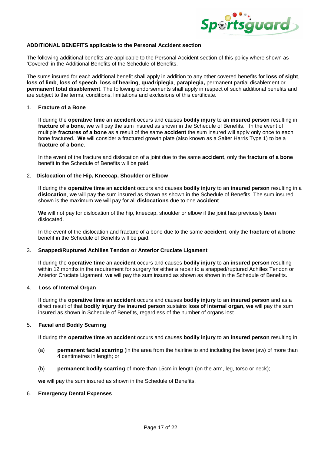

# **ADDITIONAL BENEFITS applicable to the Personal Accident section**

The following additional benefits are applicable to the Personal Accident section of this policy where shown as 'Covered' in the Additional Benefits of the Schedule of Benefits.

The sums insured for each additional benefit shall apply in addition to any other covered benefits for **loss of sight**, **loss of limb**, **loss of speech**, **loss of hearing**, **quadriplegia**, **paraplegia,** permanent partial disablement or **permanent total disablement**. The following endorsements shall apply in respect of such additional benefits and are subject to the terms, conditions, limitations and exclusions of this certificate.

# 1. **Fracture of a Bone**

If during the **operative time** an **accident** occurs and causes **bodily injury** to an **insured person** resulting in **fracture of a bone**, **we** will pay the sum insured as shown in the Schedule of Benefits. In the event of multiple **fractures of a bone** as a result of the same **accident** the sum insured will apply only once to each bone fractured. **We** will consider a fractured growth plate (also known as a Salter Harris Type 1) to be a **fracture of a bone**.

In the event of the fracture and dislocation of a joint due to the same **accident**, only the **fracture of a bone** benefit in the Schedule of Benefits will be paid.

# 2. **Dislocation of the Hip, Kneecap, Shoulder or Elbow**

If during the **operative time** an **accident** occurs and causes **bodily injury** to an **insured person** resulting in a **dislocation**, **we** will pay the sum insured as shown as shown in the Schedule of Benefits. The sum insured shown is the maximum **we** will pay for all **dislocations** due to one **accident**.

**We** will not pay for dislocation of the hip, kneecap, shoulder or elbow if the joint has previously been dislocated.

In the event of the dislocation and fracture of a bone due to the same **accident**, only the **fracture of a bone** benefit in the Schedule of Benefits will be paid.

# 3. **Snapped/Ruptured Achilles Tendon or Anterior Cruciate Ligament**

If during the **operative time** an **accident** occurs and causes **bodily injury** to an **insured person** resulting within 12 months in the requirement for surgery for either a repair to a snapped/ruptured Achilles Tendon or Anterior Cruciate Ligament, **we** will pay the sum insured as shown as shown in the Schedule of Benefits.

# 4. **Loss of Internal Organ**

If during the **operative time** an **accident** occurs and causes **bodily injury** to an **insured person** and as a direct result of that **bodily injury** the **insured person** sustains **loss of internal organ, we** will pay the sum insured as shown in Schedule of Benefits, regardless of the number of organs lost.

# 5. **Facial and Bodily Scarring**

If during the **operative time** an **accident** occurs and causes **bodily injury** to an **insured person** resulting in:

- (a) **permanent facial scarring** (in the area from the hairline to and including the lower jaw) of more than 4 centimetres in length; or
- (b) **permanent bodily scarring** of more than 15cm in length (on the arm, leg, torso or neck);

**we** will pay the sum insured as shown in the Schedule of Benefits.

# 6. **Emergency Dental Expenses**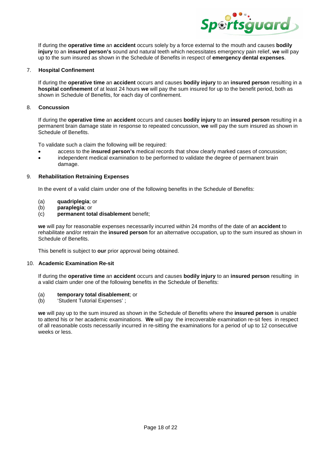

If during the **operative time** an **accident** occurs solely by a force external to the mouth and causes **bodily injury** to an **insured person's** sound and natural teeth which necessitates emergency pain relief, **we** will pay up to the sum insured as shown in the Schedule of Benefits in respect of **emergency dental expenses**.

### 7. **Hospital Confinement**

If during the **operative time** an **accident** occurs and causes **bodily injury** to an **insured person** resulting in a **hospital confinement** of at least 24 hours **we** will pay the sum insured for up to the benefit period, both as shown in Schedule of Benefits, for each day of confinement.

### 8. **Concussion**

If during the **operative time** an **accident** occurs and causes **bodily injury** to an **insured person** resulting in a permanent brain damage state in response to repeated concussion, **we** will pay the sum insured as shown in Schedule of Benefits.

To validate such a claim the following will be required:

- access to the **insured person's** medical records that show clearly marked cases of concussion;
- independent medical examination to be performed to validate the degree of permanent brain damage.

#### 9. **Rehabilitation Retraining Expenses**

In the event of a valid claim under one of the following benefits in the Schedule of Benefits:

- (a) **quadriplegia**; or
- (b) **paraplegia**; or
- (c) **permanent total disablement** benefit;

**we** will pay for reasonable expenses necessarily incurred within 24 months of the date of an **accident** to rehabilitate and/or retrain the **insured person** for an alternative occupation, up to the sum insured as shown in Schedule of Benefits.

This benefit is subject to **our** prior approval being obtained.

#### 10. **Academic Examination Re-sit**

If during the **operative time** an **accident** occurs and causes **bodily injury** to an **insured person** resulting in a valid claim under one of the following benefits in the Schedule of Benefits:

- (a) **temporary total disablement**; or
- (b) 'Student Tutorial Expenses' ;

**we** will pay up to the sum insured as shown in the Schedule of Benefits where the **insured person** is unable to attend his or her academic examinations. **We** will pay the irrecoverable examination re-sit fees in respect of all reasonable costs necessarily incurred in re-sitting the examinations for a period of up to 12 consecutive weeks or less.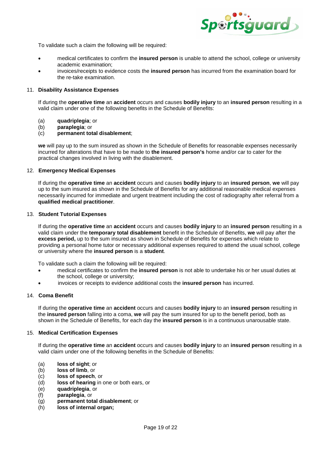

To validate such a claim the following will be required:

- medical certificates to confirm the **insured person** is unable to attend the school, college or university academic examination;
- invoices/receipts to evidence costs the **insured person** has incurred from the examination board for the re-take examination.

#### 11. **Disability Assistance Expenses**

If during the **operative time** an **accident** occurs and causes **bodily injury** to an **insured person** resulting in a valid claim under one of the following benefits in the Schedule of Benefits:

- (a) **quadriplegia**; or
- (b) **paraplegia**; or
- (c) **permanent total disablement**;

**we** will pay up to the sum insured as shown in the Schedule of Benefits for reasonable expenses necessarily incurred for alterations that have to be made to **the insured person's** home and/or car to cater for the practical changes involved in living with the disablement.

#### 12. **Emergency Medical Expenses**

If during the **operative time** an **accident** occurs and causes **bodily injury** to an **insured person**, **we** will pay up to the sum insured as shown in the Schedule of Benefits for any additional reasonable medical expenses necessarily incurred for immediate and urgent treatment including the cost of radiography after referral from a **qualified medical practitioner**.

#### 13. **Student Tutorial Expenses**

If during the **operative time** an **accident** occurs and causes **bodily injury** to an **insured person** resulting in a valid claim under the **temporary total disablement** benefit in the Schedule of Benefits, **we** will pay after the **excess period,** up to the sum insured as shown in Schedule of Benefits for expenses which relate to providing a personal home tutor or necessary additional expenses required to attend the usual school, college or university where the **insured person** is a **student**.

To validate such a claim the following will be required:

- medical certificates to confirm the **insured person** is not able to undertake his or her usual duties at the school, college or university;
- invoices or receipts to evidence additional costs the **insured person** has incurred.

# 14. **Coma Benefit**

If during the **operative time** an **accident** occurs and causes **bodily injury** to an **insured person** resulting in the **insured person** falling into a coma, **we** will pay the sum insured for up to the benefit period, both as shown in the Schedule of Benefits, for each day the **insured person** is in a continuous unarousable state.

#### 15. **Medical Certification Expenses**

If during the **operative time** an **accident** occurs and causes **bodily injury** to an **insured person** resulting in a valid claim under one of the following benefits in the Schedule of Benefits:

- (a) **loss of sight**; or
- (b) **loss of limb**, or
- (c) **loss of speech**, or
- (d) **loss of hearing** in one or both ears, or
- (e) **quadriplegia**, or
- (f) **paraplegia**, or
- (g) **permanent total disablement**; or
- (h) **loss of internal organ;**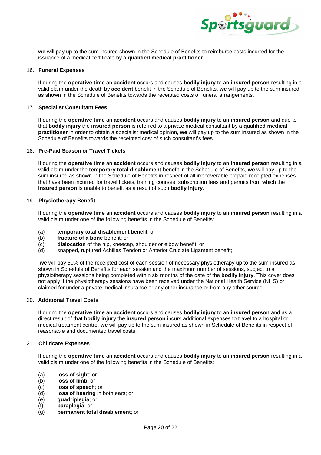

**we** will pay up to the sum insured shown in the Schedule of Benefits to reimburse costs incurred for the issuance of a medical certificate by a **qualified medical practitioner**.

#### 16. **Funeral Expenses**

If during the **operative time** an **accident** occurs and causes **bodily injury** to an **insured person** resulting in a valid claim under the death by **accident** benefit in the Schedule of Benefits, **we** will pay up to the sum insured as shown in the Schedule of Benefits towards the receipted costs of funeral arrangements.

### 17. **Specialist Consultant Fees**

If during the **operative time** an **accident** occurs and causes **bodily injury** to an **insured person** and due to that **bodily injury** the **insured person** is referred to a private medical consultant by a **qualified medical practitioner** in order to obtain a specialist medical opinion, **we** will pay up to the sum insured as shown in the Schedule of Benefits towards the receipted cost of such consultant's fees.

# 18. **Pre-Paid Season or Travel Tickets**

If during the **operative time** an **accident** occurs and causes **bodily injury** to an **insured person** resulting in a valid claim under the **temporary total disablement** benefit in the Schedule of Benefits, **we** will pay up to the sum insured as shown in the Schedule of Benefits in respect of all irrecoverable prepaid receipted expenses that have been incurred for travel tickets, training courses, subscription fees and permits from which the **insured person** is unable to benefit as a result of such **bodily injury**.

#### 19. **Physiotherapy Benefit**

If during the **operative time** an **accident** occurs and causes **bodily injury** to an **insured person** resulting in a valid claim under one of the following benefits in the Schedule of Benefits:

- (a) **temporary total disablement** benefit; or
- (b) **fracture of a bone** benefit; or
- (c) **dislocation** of the hip, kneecap, shoulder or elbow benefit; or
- (d) snapped, ruptured Achilles Tendon or Anterior Cruciate Ligament benefit;

**we** will pay 50% of the receipted cost of each session of necessary physiotherapy up to the sum insured as shown in Schedule of Benefits for each session and the maximum number of sessions, subject to all physiotherapy sessions being completed within six months of the date of the **bodily injury**. This cover does not apply if the physiotherapy sessions have been received under the National Health Service (NHS) or claimed for under a private medical insurance or any other insurance or from any other source.

#### 20. **Additional Travel Costs**

If during the **operative time** an **accident** occurs and causes **bodily injury** to an **insured person** and as a direct result of that **bodily injury** the **insured person** incurs additional expenses to travel to a hospital or medical treatment centre, **we** will pay up to the sum insured as shown in Schedule of Benefits in respect of reasonable and documented travel costs.

# 21. **Childcare Expenses**

If during the **operative time** an **accident** occurs and causes **bodily injury** to an **insured person** resulting in a valid claim under one of the following benefits in the Schedule of Benefits:

- (a) **loss of sight**; or
- (b) **loss of limb**; or
- (c) **loss of speech**; or
- (d) **loss of hearing** in both ears; or
- (e) **quadriplegia**; or
- (f) **paraplegia**; or
- (g) **permanent total disablement**; or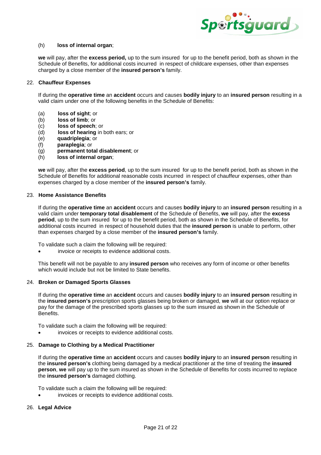

#### (h) **loss of internal organ**;

**we** will pay, after the **excess period,** up to the sum insured for up to the benefit period, both as shown in the Schedule of Benefits, for additional costs incurred in respect of childcare expenses, other than expenses charged by a close member of the **insured person's** family.

#### 22. **Chauffeur Expenses**

If during the **operative time** an **accident** occurs and causes **bodily injury** to an **insured person** resulting in a valid claim under one of the following benefits in the Schedule of Benefits:

- (a) **loss of sight**; or
- (b) **loss of limb**; or
- (c) **loss of speech**; or
- (d) **loss of hearing** in both ears; or
- (e) **quadriplegia**; or
- (f) **paraplegia**; or
- (g) **permanent total disablement**; or
- (h) **loss of internal organ**;

**we** will pay, after the **excess period**, up to the sum insured for up to the benefit period, both as shown in the Schedule of Benefits for additional reasonable costs incurred in respect of chauffeur expenses, other than expenses charged by a close member of the **insured person's** family.

# 23. **Home Assistance Benefits**

If during the **operative time** an **accident** occurs and causes **bodily injury** to an **insured person** resulting in a valid claim under **temporary total disablement** of the Schedule of Benefits, **we** will pay, after the **excess period**, up to the sum insured for up to the benefit period, both as shown in the Schedule of Benefits, for additional costs incurred in respect of household duties that the **insured person** is unable to perform, other than expenses charged by a close member of the **insured person's** family.

To validate such a claim the following will be required:

invoice or receipts to evidence additional costs.

This benefit will not be payable to any **insured person** who receives any form of income or other benefits which would include but not be limited to State benefits.

#### 24. **Broken or Damaged Sports Glasses**

If during the **operative time** an **accident** occurs and causes **bodily injury** to an **insured person** resulting in the **insured person's** prescription sports glasses being broken or damaged, **we** will at our option replace or pay for the damage of the prescribed sports glasses up to the sum insured as shown in the Schedule of Benefits.

To validate such a claim the following will be required:

invoices or receipts to evidence additional costs.

# 25. **Damage to Clothing by a Medical Practitioner**

If during the **operative time** an **accident** occurs and causes **bodily injury** to an **insured person** resulting in the **insured person's** clothing being damaged by a medical practitioner at the time of treating the **insured person**, **we** will pay up to the sum insured as shown in the Schedule of Benefits for costs incurred to replace the **insured person's** damaged clothing.

To validate such a claim the following will be required:

invoices or receipts to evidence additional costs.

# 26. **Legal Advice**